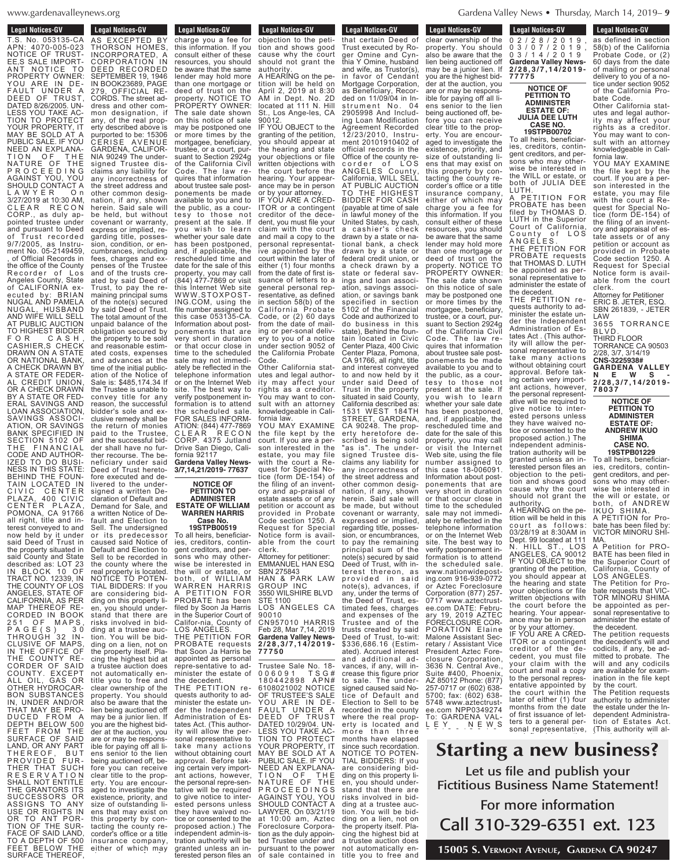$PWS. Of9$  $\overline{\mathcal{O}}$ 

**Legal Notices-GV** T.S. No. 053135-CA APN: 4070-005-023 NOTICE OF TRUST-EE,S SALE IMPORT-ANT NOTICE TO PROPERTY OWNER: YOU ARE IN DE-FAULT UNDER A DEED OF TRUST, DATED 8/26/2005. UN-LESS YOU TAKE AC-TION TO PROTECT YOUR PROPERTY, IT MAY BE SOLD AT A PUBLIC SALE. IF YOU NEED AN EXPLANA-TION OF THE NATURE OF THE P R O C E E D I N G AGAINST YOU, YOU SHOULD CONTACT A L A W Y E R O n 3/27/2019 at 10:30 AM, SEREGIS & ROSO AM,<br>CLEAR RECON<br>CORP., as duly ap-CORP., as duly appointed trustee under and pursuant to Deed<br>of Trust recorded of Trust recorded 9/7/2005, as Instrument No. 05-2149459, , of Official Records in the office of the County Recorder of Los Angeles County, State of CALIFORNIA executed by: BRIAN NUGAL AND PAMELA NUGAL, HUSBAND AND WIFE WILL SELL AT PUBLIC AUCTION TO HIGHEST BIDDER F O R C A S H , CASHIER,S CHECK DRAWN ON A STATE OR NATIONAL BANK, A CHECK DRAWN BY A STATE OR FEDER-AL CREDIT UNION, OR A CHECK DRAWN BY A STATE OR FED-ERAL SAVINGS AND LOAN ASSOCIATION, SAVINGS ASSOCI-ATION, OR SAVINGS BANK SPECIFIED IN SECTION 5102 OF THE FINANCIAL CODE AND AUTHOR-IZED TO DO BUSI-NESS IN THIS STATE: BEHIND THE FOUN-TAIN LOCATED IN CIVIC CENTER PLAZA, 400 CIVIC CENTER PLAZA, POMONA, CA 91766 all right, title and interest conveyed to and now held by it under said Deed of Trust in the property situated in said County and State described as: LOT 23 IN BLOCK 10 OF TRACT NO. 12339, IN THE COUNTY OF LOS ANGELES, STATE OF CALIFORNIA, AS PER THEREOF CORDED IN BOOK<br>251 OF MAPS, 251 OF MAPS, P A G E ( S ) 3 0<br>THROUGH 32 IN-<br>CLUSIVE OF MAPS, IN THE OFFICE OF THE COUNTY RE-CORDER OF SAID COUNTY. EXCEPT ALL OIL, GAS OR OTHER HYDROCAR-BON SUBSTANCES IN, UNDER AND/OR THAT MAY BE PRO-<br>DUCED FROM A D U C E D DEPTH BELOW 500 FEET FROM THE SURFACE OF SAID LAND, OR ANY PART THEREOF, BUT<br>PROVIDED FUR-THER THAT SUCH R E S E R V A T I O N SHALL NOT ENTITLE THE GRANTORS ITS SUCCESSORS OR ASSIGNS TO ANY USE OR RIGHTS IN OR TO ANT POR-TION OF THE SUR-FACE OF SAID LAND,<br>TO A DEPTH OF 500 FEET BELOW THE SURFACE THEREOF, insurance company, either of which may

AS EXCEPTED BY THORSON HOMES, INCORPORATED, A CORPORATION IN DEED RECORDED SEPTEMBER 19, 1946 IN BOOK23689, PAGE 279, OFFICIAL RE-CORDS. The street address and other common designation, if any, of the real property described above is purported to be: 15306 CERISE AVENUE GARDENA, CALIFOR-NIA 90249 The undersigned Trustee disclaims any liability for any incorrectness of the street address and other common designation, if any, shown herein. Said sale will be held, but without covenant or warranty, express or implied, regarding title, possession, condition, or encumbrances, including fees, charges and expenses of the Trustee and of the trusts created by said Deed of Trust, to pay the remaining principal sums of the note(s) secured by said Deed of Trust. The total amount of the unpaid balance of the obligation secured by the property to be sold and reasonable estimated costs, expenses and advances at the time of the initial publication of the Notice of Sale is: \$485,174.34 If the Trustee is unable to convey title for any reason, the successful bidder's sole and exclusive remedy shall be the return of monies paid to the Trustee, and the successful bidder shall have no further recourse. The beneficiary under said Deed of Trust heretofore executed and delivered to the undersigned a written Declaration of Default and Demand for Sale, and a written Notice of Default and Election to Sell. The undersigned or its predecessor caused said Notice of Default and Election to Sell to be recorded in the county where the real property is located. NOTICE TO POTEN-TIAL BIDDERS: If you are considering bidding on this property lien, you should understand that there are risks involved in bidding at a trustee auc-tion. You will be bidding on a lien, not on the property itself. Placing the highest bid at a trustee auction does not automatically entitle you to free and clear ownership of the property. You should also be aware that the lien being auctioned off may be a junior lien. you are the highest bidder at the auction, you are or may be responsible for paying off all liens senior to the lien being auctioned off, before you can receive clear title to the property. You are encouraged to investigate the existence, priority, and size of outstanding liens that may exist on

this property by contacting the county recorder's office or a title

charge you a fee for

**Legal Notices-GV E** Legal Nutries-GV **Legal Notices-GV Eught Nutries-GV** charge you a fee for this information. If you consult either of these resources, you should be aware that the same lender may hold more than one mortgage or deed of trust on the property. NOTICE TO PROPERTY OWNER: The sale date shown on this notice of sale may be postponed one or more times by the mortgagee, beneficiary, trustee, or a court, pursuant to Section 2924g of the California Civil Code. The law requires that information about trustee sale postponements be made available to you and to the public, as a courtesy to those not present at the sale. If you wish to learn whether your sale date has been postponed, and, if applicable, the rescheduled time and date for the sale of this property, you may call (844) 477-7869 or visit this Internet Web site WWW.STOXPOST-ING.COM, using the file number assigned to this case 053135-CA. Information about postponements that are very short in duration or that occur close in time to the scheduled sale may not immediately be reflected in the telephone information or on the Internet Web site. The best way to verify postponement information is to attend the scheduled sale. FOR SALES INFORM-ATION: (844) 477-7869 CLEAR RECON CORP. 4375 Jutland Drive San Diego, California 92117 **Gardena Valley News-3/7,14,21/2019- 77637 NOTICE OF PETITION TO ADMINISTER ESTATE OF WILLIAM WARREN HARRIS Case No. 19STPB00519** To all heirs, beneficiaries, creditors, contingent creditors, and persons who may otherwise be interested in the will or estate, or

both, of WILLIAM WARREN HARRIS A PETITION FOR PROBATE has been filed by Soon Ja Harris in the Superior Court of Califor-nia, County of LOS ANGELES. THE PETITION FOR PROBATE requests that Soon Ja Harris be appointed as personal repre-sentative to administer the estate of the decedent. THE PETITION requests authority to administer the estate under the Independent Administration of Estates Act. (This authority will allow the personal representative to

many actions without obtaining court approval. Before taking certain very important actions, however, the personal repre-sentative will be required to give notice to interested persons unless they have waived notice or consented to the proposed action.) The independent admin-istration authority will be granted unless an interested person files an

objection to the peti-

**Legal Notices-GV** 

Legal nulles-uv objection to the petition and shows good cause why the court should not grant the authorit A HEARING on the pe-

tition will be held on April 2, 2019 at 8:30 AM in Dept. No. 2D located at 111 N. Hill St., Los Ange-les, CA 90012.

IF YOU OBJECT to the granting of the petition, you should appear at the hearing and state your objections or file written objections with the court before the hearing. Your appearance may be in person or by your attorney.

IF YOU ARE A CRED-ITOR or a contingent creditor of the decedent, you must file your claim with the court and mail a copy to the personal representative appointed by the court within the later of either (1) four months from the date of first issuance of letters to a general personal representative, as defined in section 58(b) of the Cal ifornia Probate Code, or (2) 60 days from the date of mailing or per-sonal delivery to you of a notice under section 9052 of the California Probate Code.

Other California statutes and legal authority may affect your rights as a creditor. You may want to consult with an attorney knowledgeable in California law.

YOU MAY EXAMINE the file kept by the court. If you are a person interested in the estate, you may file with the court a Request for Special Notice (form DE-154) of the filing of an inventory and ap-praisal of estate assets or of any petition or account as .<br>provided in Probate Code section 1250. Request for Special Notice form is available from the court clerk.

Attorney for petitioner: EMMANUEL HAN ESQ SBN 275843 HAN & PARK LAW GROUP INC 3550 WILSHIRE BLVD STE 1100

LOS ANGELES CA 90010 CN957010 HARRIS Feb 28, Mar 7,14, 2019 **Gardena Valley News-2 / 2 8 , 3 / 7 , 1 4 / 2 0 1 9 - 7 7 7 5 0**

Trustee Sale No. 18- 0 0 6 0 9 1 T S G # 1 8 0 4 4 2 8 9 8 A P N # 6108021002 NOTICE OF TRUSTEE'S SALE YOU ARE IN DE-FAULT UNDER A DEED OF TRUST DATED 10/29/04. UN-LESS YOU TAKE AC-TION TO PROTECT YOUR PROPERTY, IT MAY BE SOLD AT A PUBLIC SALE. IF YOU NEED AN EXPLANA-TION OF THE NATURE OF THE P R O C E E D I N G S AGAINST YOU, YOU SHOULD CONTACT A LAWYER. On 03/21/19 at 10:00 am, Aztec Foreclosure Corporation as the duly appointed Trustee under and pursuant to the power of sale contained in

**Legal Notices-GV Legal Nutices-GV** that certain Deed of Trust executed by Roger Omine and Cynthia Y Omine, husband and wife, as Trustor(s), in favor of Cendant Mortgage Corporation, as Beneficiary, Recorded on 11/09/04 in Instrument No. 04 strument No. 04 2905998 And Including Loan Modification Agreement Recorded 12/23/2010, Instrument 20101910402 of official records in the Office of the county recorder of LOS ANGELES County, California, WILL SELL AT PUBLIC AUCTION TO THE HIGHEST BIDDER FOR CASH (payable at time of sale in lawful money of the United States, by cash, a cashier's check drawn by a state or national bank, a check drawn by a state or federal credit union, or a check drawn by a state or federal savings and loan association, savings association, or savings bank specified in section 5102 of the Financial Code and authorized to<br>do business in this do business state), Behind the fountain located in Civic Center Plaza, 400 Civic Center Plaza, Pomona, CA 91766, all right, title and interest conveyed to and now held by it under said Deed of Trust in the property situated in said County, California described as 1531 WEST 184TH STREET, GARDENA, CA 90248. The property heretofore described is being sold "as is". The undersigned Trustee disclaims any liability for any incorrectness of the street address and other common designation, if any, shown herein. Said sale will be made, but without covenant or warranty, expressed or implied, regarding title, possession, or encumbrances, to pay the remaining principal sum of the note(s) secured by said Deed of Trust, with interest thereon, as provided in said note(s), advances, if any, under the terms of the Deed of Trust, estimated fees, charges and expenses of the Trustee and of the trusts created by said Deed of Trust, to-wit: \$336,686.16 (Estimated). Accrued interest and additional advances, if any, will increase this figure prior to sale. The undersigned caused said Notice of Default and Election to Sell to be recorded in the county where the real property is located and more than three months have elapsed since such recordation. NOTICE TO POTEN-TIAL BIDDERS: If you are considering bidding on this property lien, you should understand that there are risks involved in bidding at a trustee auction. You will be bidding on a lien, not on the property itself. Placing the highest bid at a trustee auction does not automatically en-**Legal Notices-GV Legal Notices-GV** clear ownership of the property. You should also be aware that the lien being auctioned off may be a junior lien. If you are the highest bidder at the auction, you are or may be responsible for paying off all liens senior to the lien being auctioned off, before you can receive clear title to the property. You are encouraged to investigate the existence, priority, and size of outstanding liens that may exist on this property by contacting the county recorder's office or a title insurance company, either of which may charge you a fee for this information. If you consult either of these resources, you should be aware that the same lender may hold more than one mortgage or deed of trust on the property. NOTICE TO PROPERTY OWNER: The sale date shown on this notice of sale may be postponed one trustee, or a court, purdate for the sale of this this case 18-006091. Information about postponements that are or on the Internet Web

title you to free and

**Legal Notices-GV** Legal Nutres-GV 0 2 / 2 8 / 2 0 1 9 , 0 3 / 0 7 / 2 0 1 9 , 0 3 / 1 4 / 2 0 1 9 **Gardena Valley News-2 / 2 8 , 3 / 7 , 1 4 / 2 0 1 9 - 7 7 7 7 5** as defined in section 58(b) of the California

### **NOTICE OF PETITION TO ADMINISTER ESTATE OF: JULIA DEE LUTH CASE NO. 19STPB00702**

To all heirs, beneficiaries, creditors, contingent creditors, and persons who may otherwise be interested in the WILL or estate, or both of JULIA DEE LUTH. A PETITION FOR PROBATE has been filed by THOMAS D. LUTH in the Superior Court of California, County of LOS A N G E L E S . THE PETITION FOR PROBATE requests that THOMAS D. LUTH be appointed as personal representative to administer the estate of the decedent. THE PETITION re-

or more times by the mortgagee, beneficiary, suant to Section 2924g of the California Civil Code. The law requires that information about trustee sale postponements be made available to you and to the public, as a courtesy to those not present at the sale. If you wish to learn whether your sale date has been postponed, and, if applicable, the rescheduled time and property, you may call or visit the Internet Web site, using the file number assigned to very short in duration or that occur close in time to the scheduled sale may not immediately be reflected in the telephone information quests authority to administer the estate under the Independent Administration of Estates Act . (This authority will allow the personal representative to take many actions without obtaining court approval. Before taking certain very important actions, however, the personal representative will be required to give notice to interested persons unless they have waived notice or consented to the proposed action.) The independent administration authority will be granted unless an interested person files an objection to the petition and shows good cause why the court should not grant the authority. A HEARING on the petition will be held in this court as follows: 03/28/19 at 8:30AM in

site. The best way to verify postponement information is to attend the scheduled sale. www.nationwideposting.com 916-939-0772 or Aztec Foreclosure Corporation (877) 257- 0717 www.aztectrustee.com DATE: February 19, 2019 AZTEC FORECLOSURE COR-PORATION Elaine Malone Assistant Secretary / Assistant Vice President Aztec Foreclosure Corporation, 3636 N. Central Ave., Suite #400, Phoenix, AZ 85012 Phone: (877) 257-0717 or (602) 638- 5700; fax: (602) 638- 5748 www.aztectrustee.com NPP0349274 To: GARDENA VAL-L E Y N E W S Dept. 99 located at 111 N. HILL ST., LOS ANGELES, CA 90012 IF YOU OBJECT to the granting of the petition, you should appear at the hearing and state your objections or file written objections with the court before the hearing. Your appearance may be in person or by your attorney. IF YOU ARE A CRED-ITOR or a contingent creditor of the decedent, you must file your claim with the court and mail a copy to the personal representative appointed by the court within the later of either (1) four months from the date of first issuance of letters to a general perProbate Code, or (2) 60 days from the date of mailing or personal delivery to you of a notice under section 9052 of the California Probate Code. Other California statutes and legal author-

**Legal Notices-GV** 

**Legal Nutices-GV** 

ity may affect your rights as a creditor. You may want to consult with an attorney knowledgeable in California law.

YOU MAY EXAMINE the file kept by the court. If you are a person interested in the estate, you may file with the court a Request for Special Notice (form DE-154) of the filing of an inventory and appraisal of estate assets or of any petition or account as provided in Probate Code section 1250. A Request for Special Notice form is available from the court clerk.

Attorney for Petitioner ERIC B. JETER, ESQ. SBN 261839, - JETER LAW

3655 TORRANCE BLV D . THIRD FLOOR

TORRANCE CA 90503 2/28, 3/7, 3/14/19 **CNS-3225938# GARDENA VALLEY N E W S - 2 / 2 8 , 3 / 7 , 1 4 / 2 0 1 9 - 7 8 0 3 7**

> **NOTICE OF PETITION TO ADMINISTER ESTATE OF: ANDREW IKUO SHIMA CASE NO.**

**19STPB01229** To all heirs, beneficiaries, creditors, contingent creditors, and persons who may otherwise be interested in

the will or estate, or both, of ANDREW IKUO SHIMA. A PETITION for Probate has been filed by: VICTOR MINORU SHI-MA.

A Petition for PRO-BATE has been filed in the Superior Court of California, County of LOS ANGELES. The Petition for Probate requests that VIC-

TOR MINORU SHIMA be appointed as personal representativ administer the estate of the decedent. The petition requests

the decedent's will and codicils, if any, be admitted to probate. The will and any codicils are available for examination in the file kept by the court.

The Petition requests authority to administer the estate under the Independent Administration of Estates Act. (This authority will al-<br>

terested person files an

**Starting a new business?** Let us file and publish your Fictitious Business Name Statement! **Starting 2 / 2 8 , 3 / 7 , 1 4 / 2 0 1 9 -** 58(b) of the California a new b  $\alpha$  and  $\alpha$ ile and publish your siness Name Statement!  $\mathbf{r}$ isiness s ioning court approve n your import statement:

sonal representative,

For more information Call 310-329-6351 ext. 123 nore information author-829-6351  $JZJ$   $JJJ$ sult with an attorney  $p_{\text{rel}}$ have waived notice or  $ext$  123  $\sum$ dependent administra-

15005 S. Vermont Avenue, Gardena CA 90247 dnt Avenue,  $\,$ Gardena CA 90247  $\,$ YOU MAY EXAMINE THE REPORT OF THE REPORT OF THE REPORT OF THE REPORT OF THE REPORT OF THE REPORT OF THE REPORT OF THE REPORT OF THE REPORT OF THE REPORT OF THE REPORT OF THE REPORT OF THE REPORT OF THE REPORT OF THE REPORT  $ENA$  CA 9024/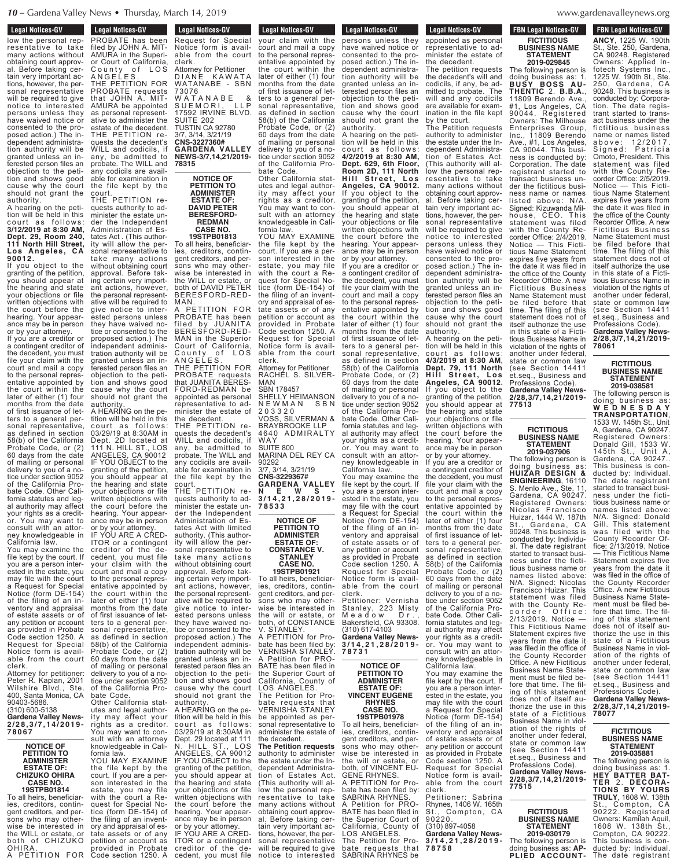# **Legal Notices-GV**

Legal Nutles-GV low the personal rep- resentative to take many actions without obtaining court approval. Before taking certain very important actions, however, the personal representative will be required to give notice to interested persons unless they have waived notice or consented to the proposed action.) The independent administration authority will be granted unless an interested person files an objection to the petition and shows good cause why the court should not grant the authority.

A hearing on the petition will be held in this<br>court as follows: follows **3/12/2019 at 8:30 AM, Dept. 29, Room 240, 111 North Hill Street, Los Angeles, CA 90012.** you object to the

granting of the petition, you should appear at the hearing and state your objections or file written objections with the court before the hearing. Your appearance may be in person or by your attorney.

If you are a creditor or a contingent creditor of the decedent, you must file your claim with the court and mail a copy to the personal representative appointed by the court within the later of either (1) four months from the date of first issuance of letters to a general personal representative, as defined in section 58(b) of the California Probate Code, or (2) 60 days from the date of mailing or personal delivery to you of a notice under section 9052 of the California Probate Code. Other California statutes and legal authority may affect your rights as a creditor. You may want to consult with an attorney knowledgeable in

California law. You may examine the file kept by the court. If you are a person interested in the estate, you may file with the court a Request for Special Notice (form DE-154) of the filing of an inventory and appraisal of estate assets or of any petition or account<br>as provided in Probate as provided in Probate Code section 1250. A Request for Special Notice form is available from the court clerk.

Attorney for petitioner: Peter R. Kaplan, 2001 Wilshire Blvd., Ste. 400, Santa Monica, CA 90403-5686. (310) 600-5138

**Gardena Valley News-2 / 2 8 , 3 / 7 , 1 4 / 2 0 1 9 - 7 8 0 6 7**

### **NOTICE OF PETITION TO ADMINISTER ESTATE OF: CHIZUKO OHIRA CASE NO.**

**19STPB01814** To all heirs, beneficiaries, creditors, contingent creditors, and persons who may otherwise be interested in the WILL or estate, or both of CHIZUKO OHIRA. A PETITION FOR

**Legal Notices-GV Legal Nutries-GV** PROBATE has been filed by JOHN A. MIT-AMURA in the Superior Court of California, County of LOS A N G E L E S . THE PETITION FOR PROBATE requests that JOHN A. MIT-AMURA be appointed as personal representative to administer the estate of the decedent. THE PETITION requests the decedent's WILL and codicils, if any, be admitted to probate. The WILL and any codicils are available for examination in the file kept by the court. THE PETITION re-

quests authority to administer the estate under the Independent Administration of Estates Act . (This authority will allow the personal representative to take many actions without obtaining court approval. Before taking certain very important actions, however, the personal representative will be required to give notice to interested persons unless they have waived notice or consented to the proposed action.) The independent administration authority will be granted unless an interested person files an objection to the petition and shows good cause why the court should not grant the authority.

A HEARING on the petition will be held in this court as follows: 03/29/19 at 8:30AM in Dept. 2D located at 111 N. HILL ST., LOS ANGELES, CA 90012 IF YOU OBJECT to the granting of the petition, you should appear at the hearing and state your objections or file written objections with the court before the hearing. Your appearance may be in person or by your attorney. IF YOU ARE A CRED-

ITOR or a contingent creditor of the decedent, you must file your claim with the court and mail a copy to the personal representative appointed by the court within the later of either (1) four months from the date of first issuance of letters to a general personal representative, as defined in section 58(b) of the California Probate Code, or (2) 60 days from the date of mailing or personal delivery to you of a notice under section 9052 of the California Probate Code. Other California stat-

utes and legal authority may affect your rights as a creditor. You may want to consult with an attorney knowledgeable in California law. YOU MAY EXAMINE the file kept by the court. If you are a person interested in the estate, you may file

with the court a Request for Special Notice (form DE-154) of the filing of an inventory and appraisal of estate assets or of any petition or account as provided in Probate Code section 1250. A

**Legal Notices-GV** Legal Nutrices-GV Request for Special Notice form is available from the court clerk. Attorney for Petitioner DIANE KAWATA WATANABE - SBN 73076 W A T A N A B E & S U E M O R I , L L P 17592 IRVINE BLVD. SUITE 202 TUSTIN CA 92780 3/7, 3/14, 3/21/19 **CNS-3227360# GARDENA VALLEY**

**NEWS-3/7,14,21/2019- 78315 NOTICE OF PETITION TO ADMINISTER ESTATE OF: DAVID PETER BERESFORD-**

### **REDMAN CASE NO. 19STPB01813** To all heirs, beneficiar-

ies, creditors, contingent creditors, and persons who may otherwise be interested in the WILL or estate, or both of DAVID PETER BERESFORD-RED-MAN. A PETITION FOR PROBATE has been filed by JUANITA BERESFORD-RED-MAN in the Superior Court of California, County of LOS A N G E L E S . THE PETITION FOR PROBATE requests that JUANITA BERES-FORD-REDMAN be appointed as personal

representative to administer the estate of the decedent. THE PETITION requests the decedent's WILL and codicils, if any, be admitted to probate. The WILL and any codicils are available for examination in the file kept by the court.

THE PETITION requests authority to administer the estate under the Independent Administration of Estates Act with limited authority. (This authority will allow the personal representative to take many actions without obtaining court approval. Before taking certain very important actions, however, the personal representative will be required to give notice to interested persons unless they have waived notice or consented to the proposed action.) The independent administration authority will be granted unless an interested person files an objection to the petition and shows good cause why the court should not grant the authority.

A HEARING on the petition will be held in this court as follows: 03/29/19 at 8:30AM in Dept. 29 located at 111 N. HILL ST., LOS ANGELES, CA 90012 IF YOU OBJECT to the granting of the petition, you should appear at the hearing and state your objections or file written objections with the court before the hearing. Your appearance may be in person or by your attorney. IF YOU ARE A CRED-ITOR or a contingent creditor of the de-

cedent, you must file<br>

**Legal Notices-GV** cegal nutries-dv your claim with the court and mail <sup>a</sup> copy to the personal representative appointed by the court within the later of either (1) four months from the date of first issuance of letters to a general personal representative, as defined in section 58(b) of the California Probate Code, or (2) 60 days from the date of mailing or personal delivery to you of a notice under section 9052 of the California Probate Code.

Other California statutes and legal authority may affect your rights as a creditor. You may want to consult with an attorney knowledgeable in California law.

YOU MAY EXAMINE the file kept by the court. If you are a person interested in the estate, you may file with the court a Request for Special Notice (form DE-154) of the filing of an inventory and appraisal of estate assets or of any petition or account as provided in Probate Code section 1250. A Request for Special Notice form is available from the court clerk. **Attorney for Petitioner** 

RACHEL S. SILVER-MAN SBN 178457

SHELLY HEIMANSON N E W M A N S B N 2 0 3 3 2 0 VOSS, SILVERMAN & BRAYBROOKE LLP 4640 ADMIRALTY WAY SUITE 800

MARINA DEL REY CA 90292 3/7, 3/14, 3/21/19 **CNS-3229367#**

**GARDENA VALLEY N E W S - 3 / 1 4 , 2 1 , 2 8 / 2 0 1 9 - 7 8 5 3 3**

> **NOTICE OF PETITION TO ADMINISTER ESTATE OF: CONSTANCE V. STANLEY CASE NO.**

**19STPB01921** To all heirs, beneficiar-

ies, creditors, contingent creditors, and persons who may otherwise be interested in the will or estate, or both, of CONSTANCE V. STANLEY.

A PETITION for Probate has been filed by: VERNISHA STANLEY. A Petition for PRO-BATE has been filed in the Superior Court of California, County of LOS ANGELES.

The Petition for Probate requests that VERNISHA STANLEY be appointed as personal representative to administer the estate of the decedent..

**The Petition requests** authority to administer the estate under the Independent Administration of Estates Act. (This authority will allow the personal representative to take many actions without obtaining court approval. Before taking certain very important actions, however, the personal representative will be required to give notice to interested<br>  $\blacksquare$ 

**Legal Notices-GV** Legal Nutrices-GV persons unless they have waived notice or consented to the proposed action.) The independent administration authority will be granted unless an interested person files an

objection to the peti-

tion and shows good cause why the court should not grant the authority. A hearing on the petition will be held in this c o u rt a s f o l l o w s : **4/2/2019 at 8:30 AM, Dept. 629, 6th Floor, Room 2D, 111 North H i l l S tr e e t , L o s Angeles, CA 90012.** If you object to the granting of the petition, ou should appear at the hearing and state your objections or file written objections with

the court before the

hearing. Your appearance may be in person or by your attorney. If you are a creditor or a contingent creditor of the decedent, you must file your claim with the court and mail a copy to the personal representative appointed by the court within the later of either (1) four months from the date of first issuance of letters to a general personal representative, as defined in section 58(b) of the California Probate Code, or (2) 60 days from the date of mailing or personal delivery to you of a notice under section 9052 of the California Probate Code. Other California statutes and legal authority may affect your rights as a creditor. You may want to consult with an attorney knowledgeable in

California law. You may examine the file kept by the court. If you are a person interested in the estate, you may file with the court a Request for Special Notice (form DE-154) of the filing of an inventory and appraisal of estate assets or of any petition or account as provided in Probate Code section 1250. A Request for Special Notice form is available from the court clerk. Petitioner: Vernisha

Stanley, 223 Misty M e a d o w D r . , Bakersfield, CA 93308. (310) 617-4103

**Gardena Valley News-3 / 1 4 , 2 1 , 2 8 / 2 0 1 9 - 7 8 7 3 1**

**NOTICE OF PETITION TO ADMINISTER ESTATE OF: VINCENT EUGENE RHYNES**

**CASE NO. 19STPB01978** To all heirs, beneficiaries, creditors, contingent creditors, and persons who may otherwise be interested in<br>the will or estate, or the will or estate, both, of VINCENT EU-GENE RHYNES. A PETITION for Probate has been filed by: SABRINA RHYNES. Petition for PRO-

BATE has been filed in the Superior Court of California, County of LOS ANGELES. The Petition for Probate requests that SABRINA RHYNES be

**Legal Notices-GV** 

**Edgar Nutrices-GV** appointed as personal representative to administer the estate of the decedent.

The petition requests the decedent's will and codicils, if any, be admitted to probate. The will and any codicils are available for examination in the file kept by the court.

The Petition requests authority to administer the estate under the Independent Administration of Estates Act. (This authority will allow the personal representative to take many actions without obtaining court approval. Before taking certain very important actions, however, the personal representative will be required to give notice to interested persons unless they have waived notice or consented to the proposed action.) The independent administration authority will be granted unless an interested person files an objection to the petition and shows good cause why the court should not grant the

authority. A hearing on the petition will be held in this c o u rt a s f o l l o w s : **4/3/2019 at 8:30 AM, Dept. 79, 111 North H i l l S tr e e t , L o s Angeles, CA 90012.** If you object to the granting of the petition, you should appear at the hearing and state your objections or file written objections with the court before the hearing. Your appearance may be in person or by your attorney.

If you are a creditor or a contingent creditor of the decedent, you must file your claim with the court and mail a copy to the personal representative appointed by the court within the later of either (1) four months from the date of first issuance of letters to a general personal representative, as defined in section 58(b) of the California Probate Code, or (2) 60 days from the date of mailing or personal delivery to you of a notice under section 9052 of the California Probate Code. Other California statutes and legal authority may affect your rights as a creditor. You may want to consult with an attorknowledgeable in ney knowledge<br>California law.

You may examine the file kept by the court. If you are a person interested in the estate, you may file with the court a Request for Special Notice (form DE-154) of the filing of an inventory and appraisal of estate assets or of any petition or account as provided in Probate Code section 1250. A Request for Special Notice form is available from the court clerk.

Petitioner: Sabrina Rhynes, 1406 W. 165th St., Compton, CA 90220. (310) 897-4058

**Gardena Valley News-3 / 1 4 , 2 1 , 2 8 / 2 0 1 9 - 7 8 7 5 8**

# **FBN Legal Notices-GV FICTITIOUS BUSINESS NAME STATEMENT**

**2019-029845** The following person is doing business as: 1. **B U SY BOSS A U - THENTIC** 2. **B.B.A.**, 11809 Berendo Ave., #1, Los Angeles, CA 90044. Registered Owners: The Milhouse Enterprises Group, Inc., 11809 Berendo Ave., #1, Los Angeles, CA 90044. This business is conducted by: Corporation. The date registrant started to transact business under the fictitious business name or names  $listed$  above:  $N/A$ .<br>Signed: Kizuwanda Mil-<br>house, CEO, This house, CEO. statement was filed with the County Recorder Office: 2/4/2019. Notice — This Fictitious Name Statement expires five years from the date it was filed in the office of the County Recorder Office. A new Fictitious Business Name Statement must be filed before that time. The filing of this statement does not of itself authorize the use in this state of a Fictitious Business Name in violation of the rights of another under federal, state or common law

(see Section 14411 et.seq., Business and Professions Code). **Gardena Valley News-2/28,3/7,14,21/2019- 77513**

### **FICTITIOUS BUSINESS NAME STATEMENT 2019-037906**

The following person is doing business as: **HUIZAR DESIGN & ENGINEERING**, 16110 S. Menlo Ave., Ste. 11, Gardena, CA 90247. Registered Owners: Nicolas Francisco Huizar, 1444 W. 187th St., Gardena, CA 90248. This business is conducted by: Individual. The date registrant started to transact business under the fictitious business name or names listed above: N/A. Signed: Nicolas Francisco Huizar. This statement was filed with the County Recorder Office: 2/13/2019. Notice — This Fictitious Name Statement expires five years from the date it was filed in the office of the County Recorder Office. A new Fictitious Business Name Statement must be filed before that time. The filing of this statement does not of itself authorize the use in this state of a Fictitious Business Name in violation of the rights of another under federal, state or common law

et.seq., Business and Professions Code). **Gardena Valley News-2/28,3/7,14,21/2019- 77515**

(see Section 14411

#### **FICTITIOUS BUSINESS NAME STATEMENT 2019-030179**

The following person is doing business as: **AP-PLIED ACCOUNT-**

**2019-030179**

**FBN Legal Notices-GV** doing business as: **AP-PLIED ACCOUNT-** $\frac{1}{2}$ **ANCY**, 1225 W. 190th St., Ste. 250, Gardena, CA 90248. Registered Owners: Applied Infotech Systems Inc., 1225 W. 190th St., Ste. 250, Gardena, CA 90248. This business is conducted by: Corporation. The date registrant started to transact business under the fictitious business name or names listed a b o v e : 1 2 / 2 0 1 7 . Signed: Patricia Omoto, President. This statement was filed with the County Recorder Office: 2/5/2019. Notice — This Fictitious Name Statement expires five years from the date it was filed in the office of the County Recorder Office. A new Fictitious Business Name Statement must be filed before that time. The filing of this statement does not of itself authorize the use in this state of a Fictitious Business Name in violation of the rights of another under federal, state or common law (see Section 14411 et.seq., Business and Professions Code).

**Gardena Valley News-2/28,3/7,14,21/2019- 78061**

### **FICTITIOUS BUSINESS NAME STATEMENT 2019-038581** The following person is

doing business as: **W E D N E S D A Y TRANSPORTATION**, 1533 W. 145th St., Unit A, Gardena, CA 90247. Registered Owners: Donald Gill, 1533 W. 145th St., Unit A, Gardena, CA 90247.. This business is conducted by: Individual. The date registrant started to transact business under the fictitious business name or names listed above: N/A. Signed: Donald Gill. This statement was filed with the County Recorder Office: 2/13/2019. Notice — This Fictitious Name Statement expires five years from the date it was filed in the office of the County Recorder Office. A new Fictitious Business Name Statement must be filed before that time. The filing of this statement does not of itself authorize the use in this state of a Fictitious Business Name in violation of the rights of another under federal, state or common law (see Section 14411 et.seq., Business and Professions Code).

**Gardena Valley News-2/28,3/7,14,21/2019- 78077**

### **FICTITIOUS BUSINESS NAME STATEMENT**

**2019-035881** The following person is doing business as: 1. **HEY BATTER BAT-TER** 2. **DECORA-TIONS BY YOURS TRULY**, 1608 W. 138th St., Compton, CA 90222. Registered Owners: Kamilah Aquil, 1608 W. 138th St., Compton, CA 90222. This business is conducted by: Individual. The date registrant<br>